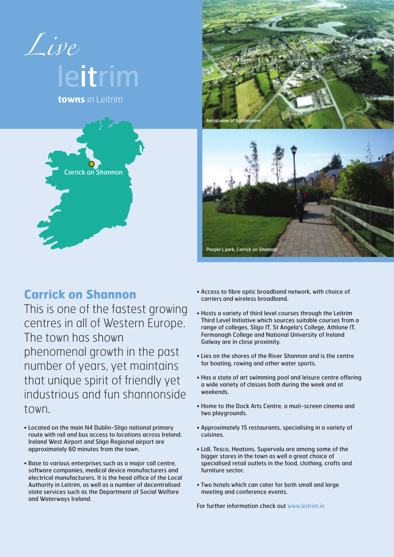

## **Carrick on Shannon**

This is one of the fastest growing centres in all of Western Europe. The town has shown phenomenal growth in the past number of years, yet maintains that unique spirit of friendly yet industrious and fun shannonside town.

- Located on the main N4 Dublin-Sligo national primary route with rail and bus access to locations across Ireland. Ireland West Airport and Sligo Regional airport are approximately 60 minutes from the town.
- Base to various enterprises such as a major call centre, software companies, medical device manufacturers and electrical manufacturers. It is the head office of the Local Authority in Leitrim, as well as a number of decentralised state services such as the Department of Social Welfare and Waterways Ireland.
- Access to fibre optic broadband network, with choice of carriers and wireless broadband.
- Hosts a variety of third level courses through the Leitrim Third Level Initiative which sources suitable courses from a range of colleges. Sligo IT, St Angela's College, Athlone IT, Fermanagh College and National University of Ireland Galway are in close proximity.
- Lies on the shores of the River Shannon and is the centre for boating, rowing and other water sports.
- Has a state of art swimming pool and leisure centre offering a wide variety of classes both during the week and at weekends.
- Home to the Dock Arts Centre, a muti-screen cinema and two playgrounds.
- Approximately 15 restaurants, specialising in a variety of cuisines.
- Lidl, Tesco, Heatons, Supervalu are among some of the bigger stores in the town as well a great choice of specialised retail outlets in the food, clothing, crafts and furniture sector.
- Two hotels which can cater for both small and large meeting and conference events.

For further information check out www.leitrim.ie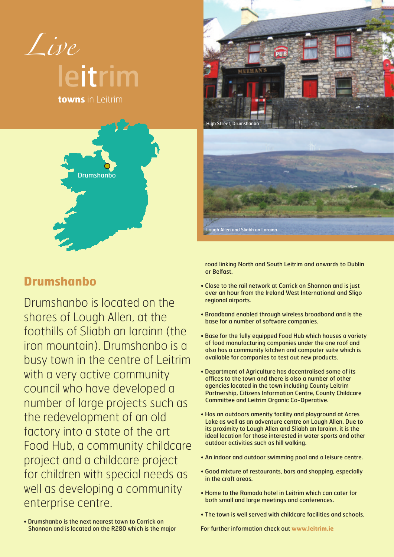

**towns** in Leitrim





gh Allen and Sliabh an Larainn

## **Drumshanbo**

Drumshanbo is located on the shores of Lough Allen, at the foothills of Sliabh an Iarainn (the iron mountain). Drumshanbo is a busy town in the centre of Leitrim with a very active community council who have developed a number of large projects such as the redevelopment of an old factory into a state of the art Food Hub, a community childcare project and a childcare project for children with special needs as well as developing a community enterprise centre.

road linking North and South Leitrim and onwards to Dublin or Belfast.

- Close to the rail network at Carrick on Shannon and is just over an hour from the Ireland West International and Sligo regional airports.
- Broadband enabled through wireless broadband and is the base for a number of software companies.
- Base for the fully equipped Food Hub which houses a variety of food manufacturing companies under the one roof and also has a community kitchen and computer suite which is available for companies to test out new products.
- Department of Agriculture has decentralised some of its offices to the town and there is also a number of other agencies located in the town including County Leitrim Partnership, Citizens Information Centre, County Childcare Committee and Leitrim Organic Co-Operative.
- Has an outdoors amenity facility and playground at Acres Lake as well as an adventure centre on Lough Allen. Due to its proximity to Lough Allen and Sliabh an Iarainn, it is the ideal location for those interested in water sports and other outdoor activities such as hill walking.
- An indoor and outdoor swimming pool and a leisure centre.
- Good mixture of restaurants, bars and shopping, especially in the craft areas.
- Home to the Ramada hotel in Leitrim which can cater for both small and large meetings and conferences.
- The town is well served with childcare facilities and schools.

• Drumshanbo is the next nearest town to Carrick on Shannon and is located on the R280 which is the major

For further information check out **www.leitrim.ie**